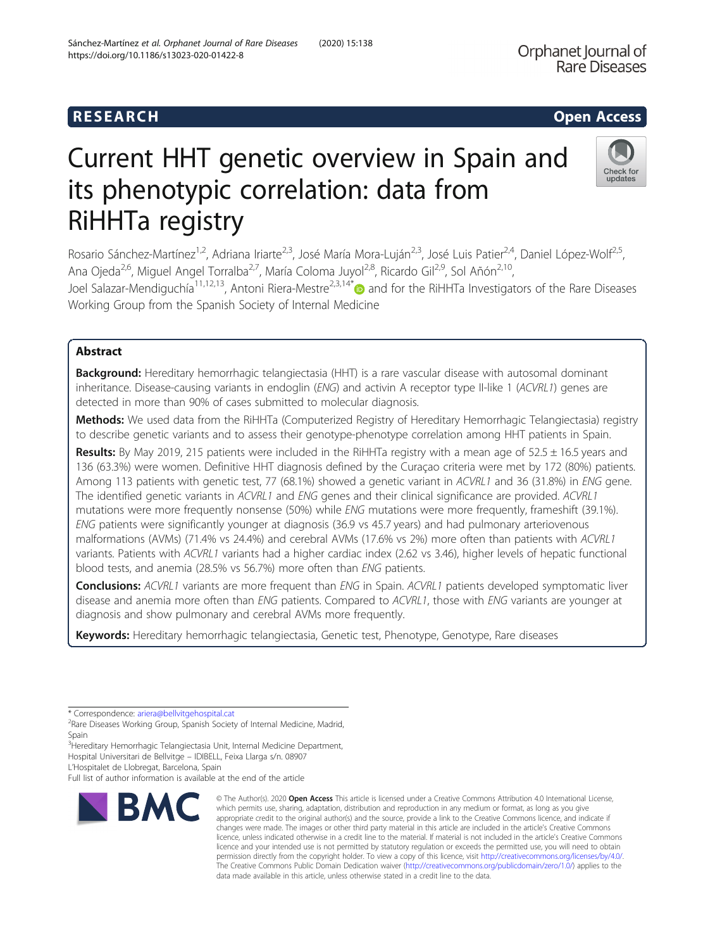Check for updates

# Current HHT genetic overview in Spain and its phenotypic correlation: data from RiHHTa registry

Rosario Sánchez-Martínez<sup>1,2</sup>, Adriana Iriarte<sup>2,3</sup>, José María Mora-Luján<sup>2,3</sup>, José Luis Patier<sup>2,4</sup>, Daniel López-Wolf<sup>2,5</sup>, Ana Ojeda<sup>2,6</sup>, Miguel Angel Torralba<sup>2,7</sup>, María Coloma Juyol<sup>2,8</sup>, Ricardo Gil<sup>2,9</sup>, Sol Añón<sup>2,10</sup>, Joel Salazar-Mendiguchía<sup>11,12,13</sup>, Antoni Riera-Mestre<sup>2,3,14[\\*](http://orcid.org/0000-0001-9411-804X)</sup> and for the RiHHTa Investigators of the Rare Diseases Working Group from the Spanish Society of Internal Medicine

## Abstract

Background: Hereditary hemorrhagic telangiectasia (HHT) is a rare vascular disease with autosomal dominant inheritance. Disease-causing variants in endoglin (ENG) and activin A receptor type II-like 1 (ACVRL1) genes are detected in more than 90% of cases submitted to molecular diagnosis.

Methods: We used data from the RiHHTa (Computerized Registry of Hereditary Hemorrhagic Telangiectasia) registry to describe genetic variants and to assess their genotype-phenotype correlation among HHT patients in Spain.

Results: By May 2019, 215 patients were included in the RiHHTa registry with a mean age of 52.5 ± 16.5 years and 136 (63.3%) were women. Definitive HHT diagnosis defined by the Curaçao criteria were met by 172 (80%) patients. Among 113 patients with genetic test, 77 (68.1%) showed a genetic variant in ACVRL1 and 36 (31.8%) in ENG gene. The identified genetic variants in ACVRL1 and ENG genes and their clinical significance are provided. ACVRL1 mutations were more frequently nonsense (50%) while ENG mutations were more frequently, frameshift (39.1%). ENG patients were significantly younger at diagnosis (36.9 vs 45.7 years) and had pulmonary arteriovenous malformations (AVMs) (71.4% vs 24.4%) and cerebral AVMs (17.6% vs 2%) more often than patients with ACVRL1 variants. Patients with ACVRL1 variants had a higher cardiac index (2.62 vs 3.46), higher levels of hepatic functional blood tests, and anemia (28.5% vs 56.7%) more often than ENG patients.

**Conclusions:** ACVRL1 variants are more frequent than ENG in Spain. ACVRL1 patients developed symptomatic liver disease and anemia more often than ENG patients. Compared to ACVRL1, those with ENG variants are younger at diagnosis and show pulmonary and cerebral AVMs more frequently.

Keywords: Hereditary hemorrhagic telangiectasia, Genetic test, Phenotype, Genotype, Rare diseases

\* Correspondence: [ariera@bellvitgehospital.cat](mailto:ariera@bellvitgehospital.cat) <sup>2</sup>

<sup>3</sup><br>Hereditary Hemorrhagic Telangiectasia Unit, Internal Medicine Department, Hospital Universitari de Bellvitge – IDIBELL, Feixa Llarga s/n. 08907

L'Hospitalet de Llobregat, Barcelona, Spain

Full list of author information is available at the end of the article



<sup>©</sup> The Author(s), 2020 **Open Access** This article is licensed under a Creative Commons Attribution 4.0 International License, which permits use, sharing, adaptation, distribution and reproduction in any medium or format, as long as you give appropriate credit to the original author(s) and the source, provide a link to the Creative Commons licence, and indicate if changes were made. The images or other third party material in this article are included in the article's Creative Commons licence, unless indicated otherwise in a credit line to the material. If material is not included in the article's Creative Commons licence and your intended use is not permitted by statutory regulation or exceeds the permitted use, you will need to obtain permission directly from the copyright holder. To view a copy of this licence, visit [http://creativecommons.org/licenses/by/4.0/.](http://creativecommons.org/licenses/by/4.0/) The Creative Commons Public Domain Dedication waiver [\(http://creativecommons.org/publicdomain/zero/1.0/](http://creativecommons.org/publicdomain/zero/1.0/)) applies to the data made available in this article, unless otherwise stated in a credit line to the data.

<sup>&</sup>lt;sup>2</sup>Rare Diseases Working Group, Spanish Society of Internal Medicine, Madrid, Spain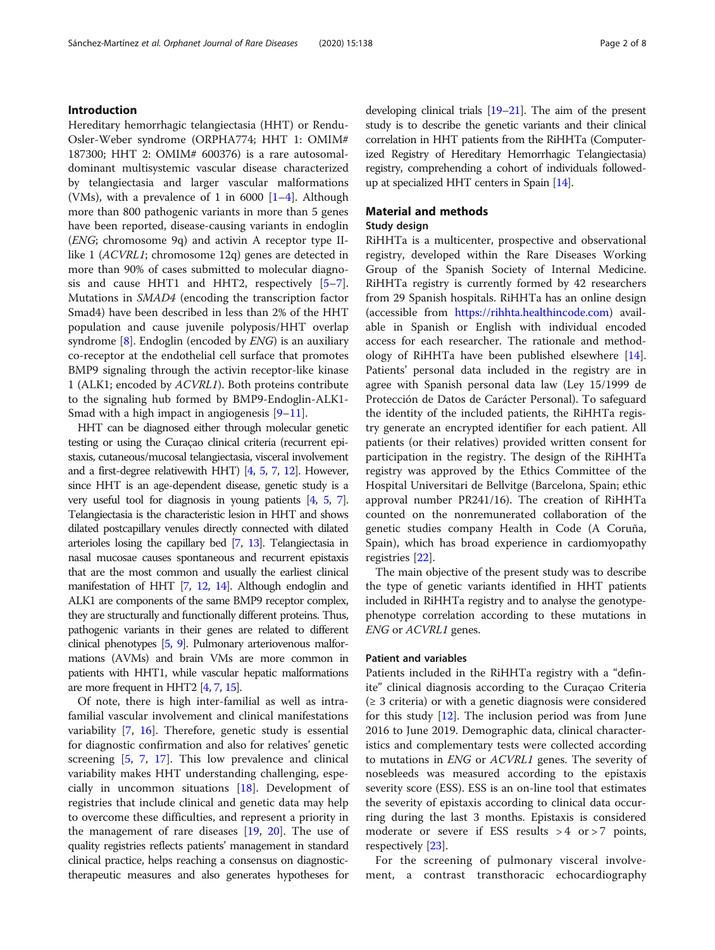Hereditary hemorrhagic telangiectasia (HHT) or Rendu-Osler-Weber syndrome (ORPHA774; HHT 1: OMIM# 187300; HHT 2: OMIM# 600376) is a rare autosomaldominant multisystemic vascular disease characterized by telangiectasia and larger vascular malformations (VMs), with a prevalence of [1](#page-6-0) in 6000  $[1-4]$  $[1-4]$ . Although more than 800 pathogenic variants in more than 5 genes have been reported, disease-causing variants in endoglin (ENG; chromosome 9q) and activin A receptor type IIlike 1 (ACVRL1; chromosome 12q) genes are detected in more than 90% of cases submitted to molecular diagnosis and cause HHT1 and HHT2, respectively [\[5](#page-6-0)–[7](#page-6-0)]. Mutations in SMAD4 (encoding the transcription factor Smad4) have been described in less than 2% of the HHT population and cause juvenile polyposis/HHT overlap syndrome  $[8]$  $[8]$ . Endoglin (encoded by  $ENG$ ) is an auxiliary co-receptor at the endothelial cell surface that promotes BMP9 signaling through the activin receptor-like kinase 1 (ALK1; encoded by ACVRL1). Both proteins contribute to the signaling hub formed by BMP9-Endoglin-ALK1- Smad with a high impact in angiogenesis  $[9-11]$  $[9-11]$  $[9-11]$  $[9-11]$  $[9-11]$ .

HHT can be diagnosed either through molecular genetic testing or using the Curaçao clinical criteria (recurrent epistaxis, cutaneous/mucosal telangiectasia, visceral involvement and a first-degree relativewith HHT) [\[4,](#page-6-0) [5,](#page-6-0) [7,](#page-6-0) [12\]](#page-6-0). However, since HHT is an age-dependent disease, genetic study is a very useful tool for diagnosis in young patients [\[4,](#page-6-0) [5](#page-6-0), [7\]](#page-6-0). Telangiectasia is the characteristic lesion in HHT and shows dilated postcapillary venules directly connected with dilated arterioles losing the capillary bed [\[7](#page-6-0), [13\]](#page-6-0). Telangiectasia in nasal mucosae causes spontaneous and recurrent epistaxis that are the most common and usually the earliest clinical manifestation of HHT [\[7](#page-6-0), [12](#page-6-0), [14\]](#page-7-0). Although endoglin and ALK1 are components of the same BMP9 receptor complex, they are structurally and functionally different proteins. Thus, pathogenic variants in their genes are related to different clinical phenotypes [\[5,](#page-6-0) [9](#page-6-0)]. Pulmonary arteriovenous malformations (AVMs) and brain VMs are more common in patients with HHT1, while vascular hepatic malformations are more frequent in HHT2 [\[4,](#page-6-0) [7](#page-6-0), [15\]](#page-7-0).

Of note, there is high inter-familial as well as intrafamilial vascular involvement and clinical manifestations variability [[7,](#page-6-0) [16](#page-7-0)]. Therefore, genetic study is essential for diagnostic confirmation and also for relatives' genetic screening [[5,](#page-6-0) [7](#page-6-0), [17\]](#page-7-0). This low prevalence and clinical variability makes HHT understanding challenging, especially in uncommon situations [\[18](#page-7-0)]. Development of registries that include clinical and genetic data may help to overcome these difficulties, and represent a priority in the management of rare diseases [\[19](#page-7-0), [20\]](#page-7-0). The use of quality registries reflects patients' management in standard clinical practice, helps reaching a consensus on diagnostictherapeutic measures and also generates hypotheses for developing clinical trials [\[19](#page-7-0)–[21](#page-7-0)]. The aim of the present study is to describe the genetic variants and their clinical correlation in HHT patients from the RiHHTa (Computerized Registry of Hereditary Hemorrhagic Telangiectasia) registry, comprehending a cohort of individuals followedup at specialized HHT centers in Spain [[14\]](#page-7-0).

## Material and methods

## Study design

RiHHTa is a multicenter, prospective and observational registry, developed within the Rare Diseases Working Group of the Spanish Society of Internal Medicine. RiHHTa registry is currently formed by 42 researchers from 29 Spanish hospitals. RiHHTa has an online design (accessible from [https://rihhta.healthincode.com\)](https://rihhta.healthincode.com) available in Spanish or English with individual encoded access for each researcher. The rationale and methodology of RiHHTa have been published elsewhere [\[14](#page-7-0)]. Patients' personal data included in the registry are in agree with Spanish personal data law (Ley 15/1999 de Protección de Datos de Carácter Personal). To safeguard the identity of the included patients, the RiHHTa registry generate an encrypted identifier for each patient. All patients (or their relatives) provided written consent for participation in the registry. The design of the RiHHTa registry was approved by the Ethics Committee of the Hospital Universitari de Bellvitge (Barcelona, Spain; ethic approval number PR241/16). The creation of RiHHTa counted on the nonremunerated collaboration of the genetic studies company Health in Code (A Coruña, Spain), which has broad experience in cardiomyopathy registries [[22](#page-7-0)].

The main objective of the present study was to describe the type of genetic variants identified in HHT patients included in RiHHTa registry and to analyse the genotypephenotype correlation according to these mutations in ENG or ACVRL1 genes.

#### Patient and variables

Patients included in the RiHHTa registry with a "definite" clinical diagnosis according to the Curaçao Criteria  $(\geq 3$  criteria) or with a genetic diagnosis were considered for this study [[12\]](#page-6-0). The inclusion period was from June 2016 to June 2019. Demographic data, clinical characteristics and complementary tests were collected according to mutations in ENG or ACVRL1 genes. The severity of nosebleeds was measured according to the epistaxis severity score (ESS). ESS is an on-line tool that estimates the severity of epistaxis according to clinical data occurring during the last 3 months. Epistaxis is considered moderate or severe if ESS results  $>4$  or  $>7$  points, respectively [\[23](#page-7-0)].

For the screening of pulmonary visceral involvement, a contrast transthoracic echocardiography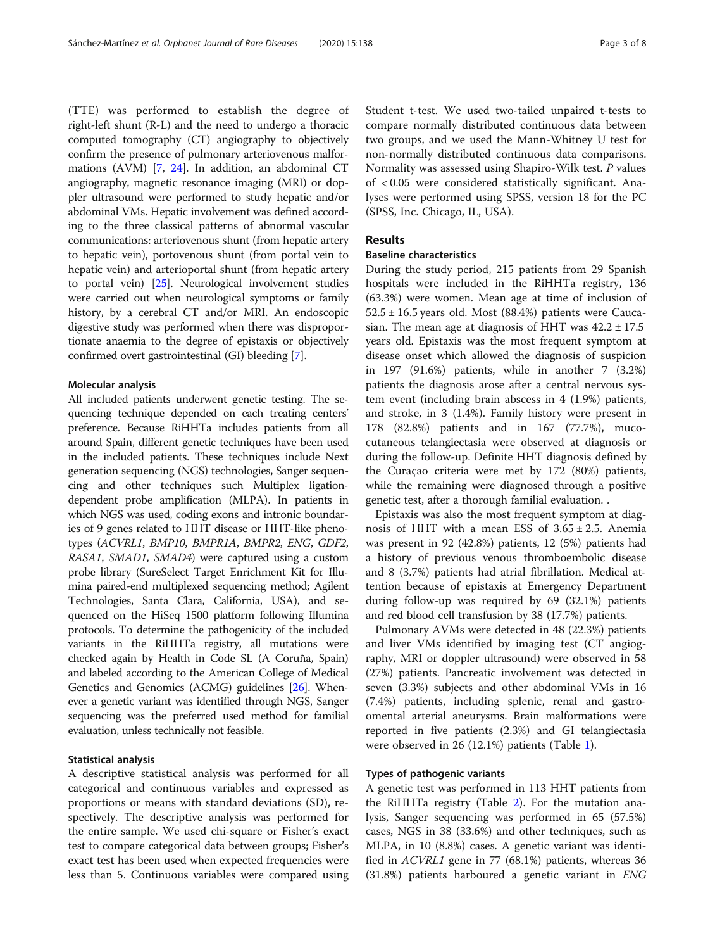(TTE) was performed to establish the degree of right-left shunt (R-L) and the need to undergo a thoracic computed tomography (CT) angiography to objectively confirm the presence of pulmonary arteriovenous malformations (AVM) [\[7](#page-6-0), [24\]](#page-7-0). In addition, an abdominal CT angiography, magnetic resonance imaging (MRI) or doppler ultrasound were performed to study hepatic and/or abdominal VMs. Hepatic involvement was defined according to the three classical patterns of abnormal vascular communications: arteriovenous shunt (from hepatic artery to hepatic vein), portovenous shunt (from portal vein to hepatic vein) and arterioportal shunt (from hepatic artery to portal vein) [\[25](#page-7-0)]. Neurological involvement studies were carried out when neurological symptoms or family history, by a cerebral CT and/or MRI. An endoscopic digestive study was performed when there was disproportionate anaemia to the degree of epistaxis or objectively confirmed overt gastrointestinal (GI) bleeding [\[7](#page-6-0)].

#### Molecular analysis

All included patients underwent genetic testing. The sequencing technique depended on each treating centers' preference. Because RiHHTa includes patients from all around Spain, different genetic techniques have been used in the included patients. These techniques include Next generation sequencing (NGS) technologies, Sanger sequencing and other techniques such Multiplex ligationdependent probe amplification (MLPA). In patients in which NGS was used, coding exons and intronic boundaries of 9 genes related to HHT disease or HHT-like phenotypes (ACVRL1, BMP10, BMPR1A, BMPR2, ENG, GDF2, RASA1, SMAD1, SMAD4) were captured using a custom probe library (SureSelect Target Enrichment Kit for Illumina paired-end multiplexed sequencing method; Agilent Technologies, Santa Clara, California, USA), and sequenced on the HiSeq 1500 platform following Illumina protocols. To determine the pathogenicity of the included variants in the RiHHTa registry, all mutations were checked again by Health in Code SL (A Coruña, Spain) and labeled according to the American College of Medical Genetics and Genomics (ACMG) guidelines [[26](#page-7-0)]. Whenever a genetic variant was identified through NGS, Sanger sequencing was the preferred used method for familial evaluation, unless technically not feasible.

### Statistical analysis

A descriptive statistical analysis was performed for all categorical and continuous variables and expressed as proportions or means with standard deviations (SD), respectively. The descriptive analysis was performed for the entire sample. We used chi-square or Fisher's exact test to compare categorical data between groups; Fisher's exact test has been used when expected frequencies were less than 5. Continuous variables were compared using Student t-test. We used two-tailed unpaired t-tests to compare normally distributed continuous data between two groups, and we used the Mann-Whitney U test for non-normally distributed continuous data comparisons. Normality was assessed using Shapiro-Wilk test. P values of < 0.05 were considered statistically significant. Analyses were performed using SPSS, version 18 for the PC (SPSS, Inc. Chicago, IL, USA).

## Results

## Baseline characteristics

During the study period, 215 patients from 29 Spanish hospitals were included in the RiHHTa registry, 136 (63.3%) were women. Mean age at time of inclusion of  $52.5 \pm 16.5$  years old. Most (88.4%) patients were Caucasian. The mean age at diagnosis of HHT was  $42.2 \pm 17.5$ years old. Epistaxis was the most frequent symptom at disease onset which allowed the diagnosis of suspicion in 197 (91.6%) patients, while in another 7 (3.2%) patients the diagnosis arose after a central nervous system event (including brain abscess in 4 (1.9%) patients, and stroke, in 3 (1.4%). Family history were present in 178 (82.8%) patients and in 167 (77.7%), mucocutaneous telangiectasia were observed at diagnosis or during the follow-up. Definite HHT diagnosis defined by the Curaçao criteria were met by 172 (80%) patients, while the remaining were diagnosed through a positive genetic test, after a thorough familial evaluation. .

Epistaxis was also the most frequent symptom at diagnosis of HHT with a mean ESS of  $3.65 \pm 2.5$ . Anemia was present in 92 (42.8%) patients, 12 (5%) patients had a history of previous venous thromboembolic disease and 8 (3.7%) patients had atrial fibrillation. Medical attention because of epistaxis at Emergency Department during follow-up was required by 69 (32.1%) patients and red blood cell transfusion by 38 (17.7%) patients.

Pulmonary AVMs were detected in 48 (22.3%) patients and liver VMs identified by imaging test (CT angiography, MRI or doppler ultrasound) were observed in 58 (27%) patients. Pancreatic involvement was detected in seven (3.3%) subjects and other abdominal VMs in 16 (7.4%) patients, including splenic, renal and gastroomental arterial aneurysms. Brain malformations were reported in five patients (2.3%) and GI telangiectasia were observed in 26 (12.1%) patients (Table [1\)](#page-3-0).

## Types of pathogenic variants

A genetic test was performed in 113 HHT patients from the RiHHTa registry (Table [2\)](#page-3-0). For the mutation analysis, Sanger sequencing was performed in 65 (57.5%) cases, NGS in 38 (33.6%) and other techniques, such as MLPA, in 10 (8.8%) cases. A genetic variant was identified in ACVRL1 gene in 77 (68.1%) patients, whereas 36 (31.8%) patients harboured a genetic variant in ENG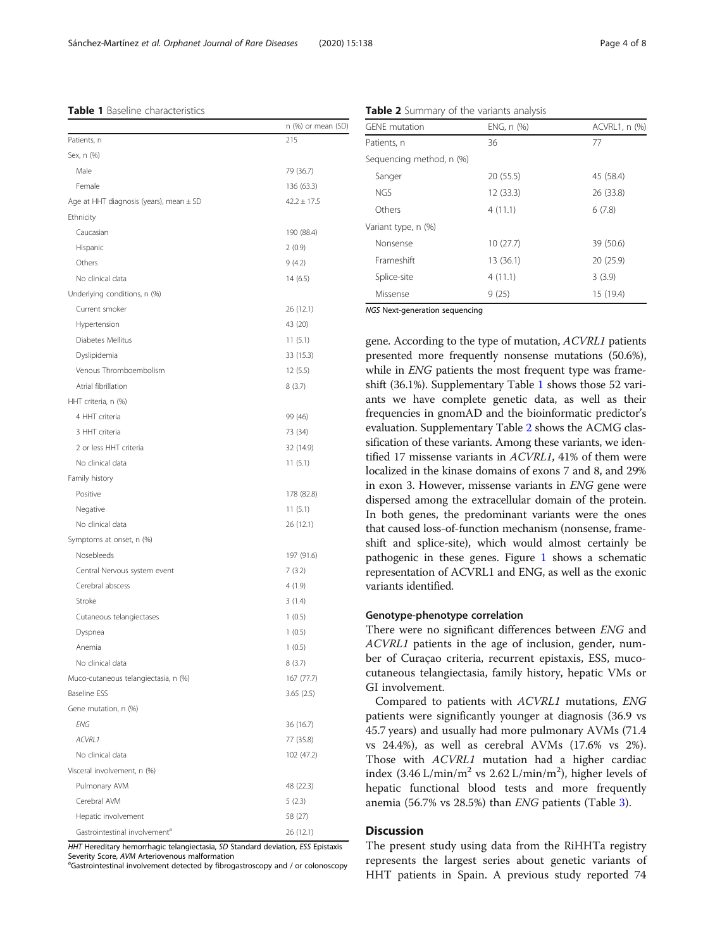#### <span id="page-3-0"></span>Table 1 Baseline characteristics

|                                             | n (%) or mean (SD) |
|---------------------------------------------|--------------------|
| Patients, n                                 | 215                |
| Sex, n (%)                                  |                    |
| Male                                        | 79 (36.7)          |
| Female                                      | 136 (63.3)         |
| Age at HHT diagnosis (years), mean $\pm$ SD | $42.2 \pm 17.5$    |
| Ethnicity                                   |                    |
| Caucasian                                   | 190 (88.4)         |
| Hispanic                                    | 2(0.9)             |
| Others                                      | 9(4.2)             |
| No clinical data                            | 14(6.5)            |
| Underlying conditions, n (%)                |                    |
| Current smoker                              | 26 (12.1)          |
| Hypertension                                | 43 (20)            |
| Diabetes Mellitus                           | 11(5.1)            |
| Dyslipidemia                                | 33 (15.3)          |
| Venous Thromboembolism                      | 12(5.5)            |
| Atrial fibrillation                         | 8(3.7)             |
| HHT criteria, n (%)                         |                    |
| 4 HHT criteria                              | 99 (46)            |
| 3 HHT criteria                              | 73 (34)            |
| 2 or less HHT criteria                      | 32 (14.9)          |
| No clinical data                            | 11(5.1)            |
| Family history                              |                    |
| Positive                                    | 178 (82.8)         |
| Negative                                    | 11(5.1)            |
| No clinical data                            | 26 (12.1)          |
| Symptoms at onset, n (%)                    |                    |
| Nosebleeds                                  | 197 (91.6)         |
| Central Nervous system event                | 7(3.2)             |
| Cerebral abscess                            | 4(1.9)             |
| Stroke                                      | 3(1.4)             |
| Cutaneous telangiectases                    | 1(0.5)             |
| Dyspnea                                     | 1(0.5)             |
| Anemia                                      | 1(0.5)             |
| No clinical data                            | 8 (3.7)            |
| Muco-cutaneous telangiectasia, n (%)        | 167 (77.7)         |
| <b>Baseline ESS</b>                         | 3.65(2.5)          |
| Gene mutation, n (%)                        |                    |
| ENG                                         | 36 (16.7)          |
| ACVRL1                                      | 77 (35.8)          |
| No clinical data                            | 102 (47.2)         |
| Visceral involvement, n (%)                 |                    |
| Pulmonary AVM                               | 48 (22.3)          |
| Cerebral AVM                                | 5(2.3)             |
| Hepatic involvement                         | 58 (27)            |
| Gastrointestinal involvement <sup>a</sup>   | 26 (12.1)          |

HHT Hereditary hemorrhagic telangiectasia, SD Standard deviation, ESS Epistaxis Severity Score, AVM Arteriovenous malformation

<sup>a</sup>Gastrointestinal involvement detected by fibrogastroscopy and / or colonoscopy

| <b>GENE</b> mutation     | ENG, n (%) | ACVRL1, n (%) |
|--------------------------|------------|---------------|
|                          |            |               |
| Patients, n              | 36         | 77            |
| Sequencing method, n (%) |            |               |
| Sanger                   | 20 (55.5)  | 45 (58.4)     |
| <b>NGS</b>               | 12 (33.3)  | 26 (33.8)     |
| Others                   | 4(11.1)    | 6(7.8)        |
| Variant type, n (%)      |            |               |
| Nonsense                 | 10 (27.7)  | 39 (50.6)     |
| Frameshift               | 13 (36.1)  | 20 (25.9)     |
| Splice-site              | 4(11.1)    | 3(3.9)        |
| Missense                 | 9(25)      | 15 (19.4)     |

NGS Next-generation sequencing

gene. According to the type of mutation, ACVRL1 patients presented more frequently nonsense mutations (50.6%), while in *ENG* patients the most frequent type was frameshift (36.1%). Supplementary Table [1](#page-6-0) shows those 52 variants we have complete genetic data, as well as their frequencies in gnomAD and the bioinformatic predictor's evaluation. Supplementary Table [2](#page-6-0) shows the ACMG classification of these variants. Among these variants, we identified 17 missense variants in ACVRL1, 41% of them were localized in the kinase domains of exons 7 and 8, and 29% in exon 3. However, missense variants in ENG gene were dispersed among the extracellular domain of the protein. In both genes, the predominant variants were the ones that caused loss-of-function mechanism (nonsense, frameshift and splice-site), which would almost certainly be pathogenic in these genes. Figure [1](#page-4-0) shows a schematic representation of ACVRL1 and ENG, as well as the exonic variants identified.

## Genotype-phenotype correlation

There were no significant differences between ENG and ACVRL1 patients in the age of inclusion, gender, number of Curaçao criteria, recurrent epistaxis, ESS, mucocutaneous telangiectasia, family history, hepatic VMs or GI involvement.

Compared to patients with ACVRL1 mutations, ENG patients were significantly younger at diagnosis (36.9 vs 45.7 years) and usually had more pulmonary AVMs (71.4 vs 24.4%), as well as cerebral AVMs (17.6% vs 2%). Those with ACVRL1 mutation had a higher cardiac index  $(3.46 \text{ L/min/m}^2 \text{ vs } 2.62 \text{ L/min/m}^2)$ , higher levels of hepatic functional blood tests and more frequently anemia (56.7% vs 28.5%) than ENG patients (Table [3\)](#page-5-0).

## **Discussion**

The present study using data from the RiHHTa registry represents the largest series about genetic variants of HHT patients in Spain. A previous study reported 74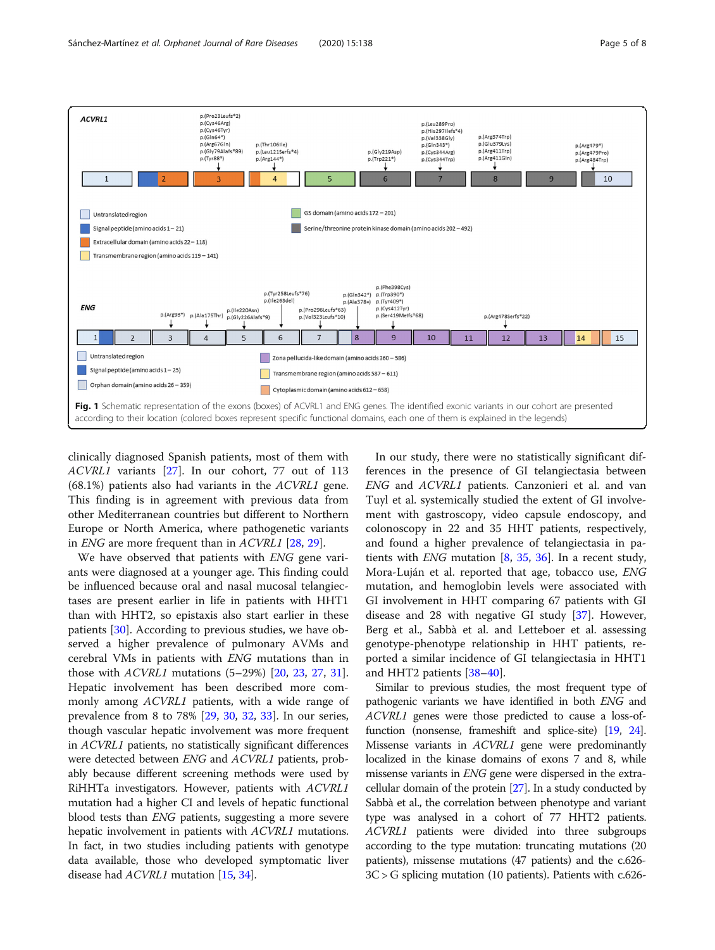n (Pro23Leufe\*2)

p.(1102000)<br>p.(Cys46Arg)<br>p.(Cys46Tyr)

<span id="page-4-0"></span>ACVRL1





clinically diagnosed Spanish patients, most of them with ACVRL1 variants [[27](#page-7-0)]. In our cohort, 77 out of 113 (68.1%) patients also had variants in the ACVRL1 gene. This finding is in agreement with previous data from other Mediterranean countries but different to Northern Europe or North America, where pathogenetic variants in ENG are more frequent than in ACVRL1 [\[28](#page-7-0), [29](#page-7-0)].

We have observed that patients with ENG gene variants were diagnosed at a younger age. This finding could be influenced because oral and nasal mucosal telangiectases are present earlier in life in patients with HHT1 than with HHT2, so epistaxis also start earlier in these patients [\[30\]](#page-7-0). According to previous studies, we have observed a higher prevalence of pulmonary AVMs and cerebral VMs in patients with ENG mutations than in those with ACVRL1 mutations (5–29%) [[20](#page-7-0), [23,](#page-7-0) [27,](#page-7-0) [31](#page-7-0)]. Hepatic involvement has been described more commonly among ACVRL1 patients, with a wide range of prevalence from 8 to 78% [[29,](#page-7-0) [30,](#page-7-0) [32,](#page-7-0) [33](#page-7-0)]. In our series, though vascular hepatic involvement was more frequent in ACVRL1 patients, no statistically significant differences were detected between ENG and ACVRL1 patients, probably because different screening methods were used by RiHHTa investigators. However, patients with ACVRL1 mutation had a higher CI and levels of hepatic functional blood tests than ENG patients, suggesting a more severe hepatic involvement in patients with *ACVRL1* mutations. In fact, in two studies including patients with genotype data available, those who developed symptomatic liver disease had ACVRL1 mutation [[15](#page-7-0), [34\]](#page-7-0).

In our study, there were no statistically significant differences in the presence of GI telangiectasia between ENG and ACVRL1 patients. Canzonieri et al. and van Tuyl et al. systemically studied the extent of GI involvement with gastroscopy, video capsule endoscopy, and colonoscopy in 22 and 35 HHT patients, respectively, and found a higher prevalence of telangiectasia in patients with *ENG* mutation  $[8, 35, 36]$  $[8, 35, 36]$  $[8, 35, 36]$  $[8, 35, 36]$  $[8, 35, 36]$  $[8, 35, 36]$  $[8, 35, 36]$ . In a recent study, Mora-Luján et al. reported that age, tobacco use, ENG mutation, and hemoglobin levels were associated with GI involvement in HHT comparing 67 patients with GI disease and 28 with negative GI study [[37\]](#page-7-0). However, Berg et al., Sabbà et al. and Letteboer et al. assessing genotype-phenotype relationship in HHT patients, reported a similar incidence of GI telangiectasia in HHT1 and HHT2 patients [\[38](#page-7-0)–[40](#page-7-0)].

Similar to previous studies, the most frequent type of pathogenic variants we have identified in both ENG and ACVRL1 genes were those predicted to cause a loss-offunction (nonsense, frameshift and splice-site) [[19](#page-7-0), [24](#page-7-0)]. Missense variants in ACVRL1 gene were predominantly localized in the kinase domains of exons 7 and 8, while missense variants in ENG gene were dispersed in the extracellular domain of the protein [\[27\]](#page-7-0). In a study conducted by Sabbà et al., the correlation between phenotype and variant type was analysed in a cohort of 77 HHT2 patients. ACVRL1 patients were divided into three subgroups according to the type mutation: truncating mutations (20 patients), missense mutations (47 patients) and the c.626- 3C > G splicing mutation (10 patients). Patients with c.626-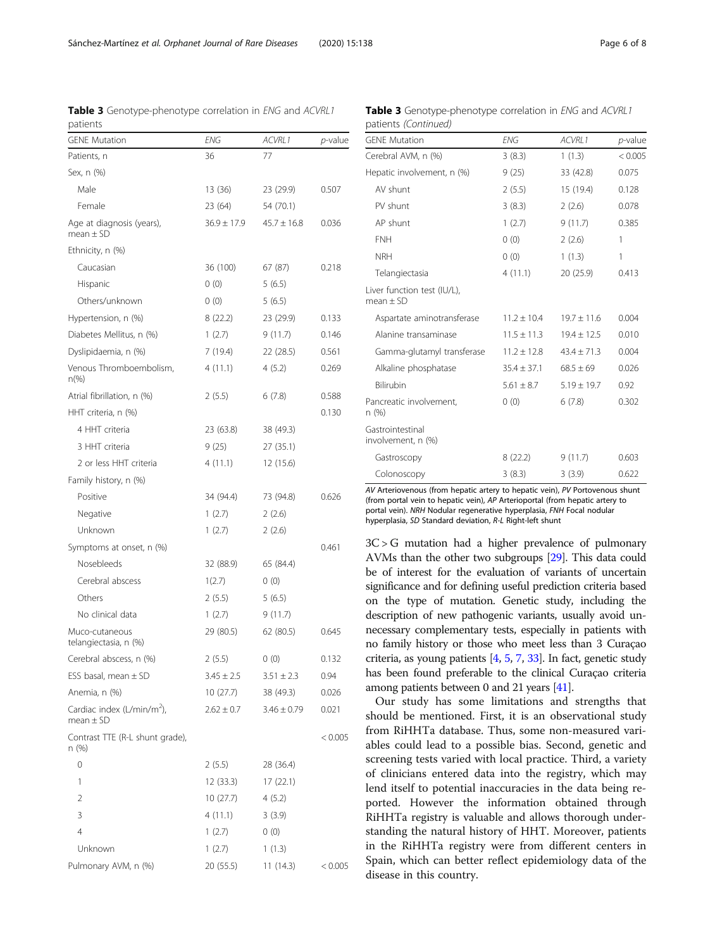| patients                                                |                 |                 |                 |
|---------------------------------------------------------|-----------------|-----------------|-----------------|
| <b>GENE Mutation</b>                                    | ENG             | ACVRL1          | <i>p</i> -value |
| Patients, n                                             | 36              | 77              |                 |
| Sex, n (%)                                              |                 |                 |                 |
| Male                                                    | 13 (36)         | 23 (29.9)       | 0.507           |
| Female                                                  | 23 (64)         | 54 (70.1)       |                 |
| Age at diagnosis (years),<br>$mean \pm SD$              | $36.9 \pm 17.9$ | $45.7 \pm 16.8$ | 0.036           |
| Ethnicity, n (%)                                        |                 |                 |                 |
| Caucasian                                               | 36 (100)        | 67 (87)         | 0.218           |
| Hispanic                                                | 0(0)            | 5(6.5)          |                 |
| Others/unknown                                          | 0(0)            | 5(6.5)          |                 |
| Hypertension, n (%)                                     | 8(22.2)         | 23 (29.9)       | 0.133           |
| Diabetes Mellitus, n (%)                                | 1(2.7)          | 9(11.7)         | 0.146           |
| Dyslipidaemia, n (%)                                    | 7 (19.4)        | 22 (28.5)       | 0.561           |
| Venous Thromboembolism,<br>$n\frac{9}{6}$               | 4 (11.1)        | 4(5.2)          | 0.269           |
| Atrial fibrillation, n (%)                              | 2(5.5)          | 6(7.8)          | 0.588           |
| HHT criteria, n (%)                                     |                 |                 | 0.130           |
| 4 HHT criteria                                          | 23 (63.8)       | 38 (49.3)       |                 |
| 3 HHT criteria                                          | 9(25)           | 27 (35.1)       |                 |
| 2 or less HHT criteria                                  | 4(11.1)         | 12 (15.6)       |                 |
| Family history, n (%)                                   |                 |                 |                 |
| Positive                                                | 34 (94.4)       | 73 (94.8)       | 0.626           |
| Negative                                                | 1(2.7)          | 2(2.6)          |                 |
| Unknown                                                 | 1(2.7)          | 2(2.6)          |                 |
| Symptoms at onset, n (%)                                |                 |                 | 0.461           |
| Nosebleeds                                              | 32 (88.9)       | 65 (84.4)       |                 |
| Cerebral abscess                                        | 1(2.7)          | 0(0)            |                 |
| Others                                                  | 2(5.5)          | 5(6.5)          |                 |
| No clinical data                                        | 1(2.7)          | 9(11.7)         |                 |
| Muco-cutaneous<br>telangiectasia, n (%)                 | 29 (80.5)       | 62 (80.5)       | 0.645           |
| Cerebral abscess, n (%)                                 | 2(5.5)          | 0(0)            | 0.132           |
| ESS basal, mean $\pm$ SD                                | $3.45 \pm 2.5$  | $3.51 \pm 2.3$  | 0.94            |
| Anemia, n (%)                                           | 10(27.7)        | 38 (49.3)       | 0.026           |
| Cardiac index (L/min/m <sup>2</sup> ),<br>mean $\pm$ SD | $2.62 \pm 0.7$  | $3.46 \pm 0.79$ | 0.021           |
| Contrast TTE (R-L shunt grade),<br>n (%)                |                 |                 | < 0.005         |
| 0                                                       | 2(5.5)          | 28 (36.4)       |                 |
| 1                                                       | 12 (33.3)       | 17(22.1)        |                 |
| 2                                                       | 10 (27.7)       | 4(5.2)          |                 |

3 4 (11.1) 3 (3.9) 4 1 (2.7) 0 (0) Unknown 1 (2.7) 1 (1.3)

Pulmonary AVM, n (%) 20 (55.5) 11 (14.3) < 0.005

Table 3 Genotype-phenotype correlation in ENG and ACVRL1 patients (Continued)

| <b>GENE Mutation</b>                         | ENG             | ACVRL1          | p-value |
|----------------------------------------------|-----------------|-----------------|---------|
| Cerebral AVM, n (%)                          | 3(8.3)          | 1(1.3)          | < 0.005 |
| Hepatic involvement, n (%)                   | 9(25)           | 33 (42.8)       | 0.075   |
| AV shunt                                     | 2(5.5)          | 15 (19.4)       | 0.128   |
| PV shunt                                     | 3(8.3)          | 2(2.6)          | 0.078   |
| AP shunt                                     | 1(2.7)          | 9(11.7)         | 0.385   |
| <b>FNH</b>                                   | 0(0)            | 2(2.6)          | 1       |
| <b>NRH</b>                                   | 0(0)            | 1(1.3)          | 1       |
| Telangiectasia                               | 4(11.1)         | 20 (25.9)       | 0.413   |
| Liver function test (IU/L),<br>mean $\pm$ SD |                 |                 |         |
| Aspartate aminotransferase                   | $11.2 \pm 10.4$ | $19.7 \pm 11.6$ | 0.004   |
| Alanine transaminase                         | $11.5 \pm 11.3$ | $19.4 \pm 12.5$ | 0.010   |
| Gamma-glutamyl transferase                   | $11.2 \pm 12.8$ | $43.4 \pm 71.3$ | 0.004   |
| Alkaline phosphatase                         | $35.4 \pm 37.1$ | $68.5 \pm 69$   | 0.026   |
| Bilirubin                                    | $5.61 \pm 8.7$  | $5.19 \pm 19.7$ | 0.92    |
| Pancreatic involvement,<br>n (%)             | 0(0)            | 6(7.8)          | 0.302   |
| Gastrointestinal<br>involvement, n (%)       |                 |                 |         |
| Gastroscopy                                  | 8(22.2)         | 9(11.7)         | 0.603   |
| Colonoscopy                                  | 3(8.3)          | 3(3.9)          | 0.622   |

AV Arteriovenous (from hepatic artery to hepatic vein), PV Portovenous shunt (from portal vein to hepatic vein), AP Arterioportal (from hepatic artery to portal vein). NRH Nodular regenerative hyperplasia, FNH Focal nodular hyperplasia, SD Standard deviation, R-L Right-left shunt

 $3C > G$  mutation had a higher prevalence of pulmonary AVMs than the other two subgroups [[29](#page-7-0)]. This data could be of interest for the evaluation of variants of uncertain significance and for defining useful prediction criteria based on the type of mutation. Genetic study, including the description of new pathogenic variants, usually avoid unnecessary complementary tests, especially in patients with no family history or those who meet less than 3 Curaçao criteria, as young patients  $[4, 5, 7, 33]$  $[4, 5, 7, 33]$  $[4, 5, 7, 33]$  $[4, 5, 7, 33]$  $[4, 5, 7, 33]$  $[4, 5, 7, 33]$  $[4, 5, 7, 33]$ . In fact, genetic study has been found preferable to the clinical Curaçao criteria among patients between 0 and 21 years [[41](#page-7-0)].

Our study has some limitations and strengths that should be mentioned. First, it is an observational study from RiHHTa database. Thus, some non-measured variables could lead to a possible bias. Second, genetic and screening tests varied with local practice. Third, a variety of clinicians entered data into the registry, which may lend itself to potential inaccuracies in the data being reported. However the information obtained through RiHHTa registry is valuable and allows thorough understanding the natural history of HHT. Moreover, patients in the RiHHTa registry were from different centers in Spain, which can better reflect epidemiology data of the disease in this country.

<span id="page-5-0"></span>Table 3 Genotype-phenotype correlation in ENG and ACVRL1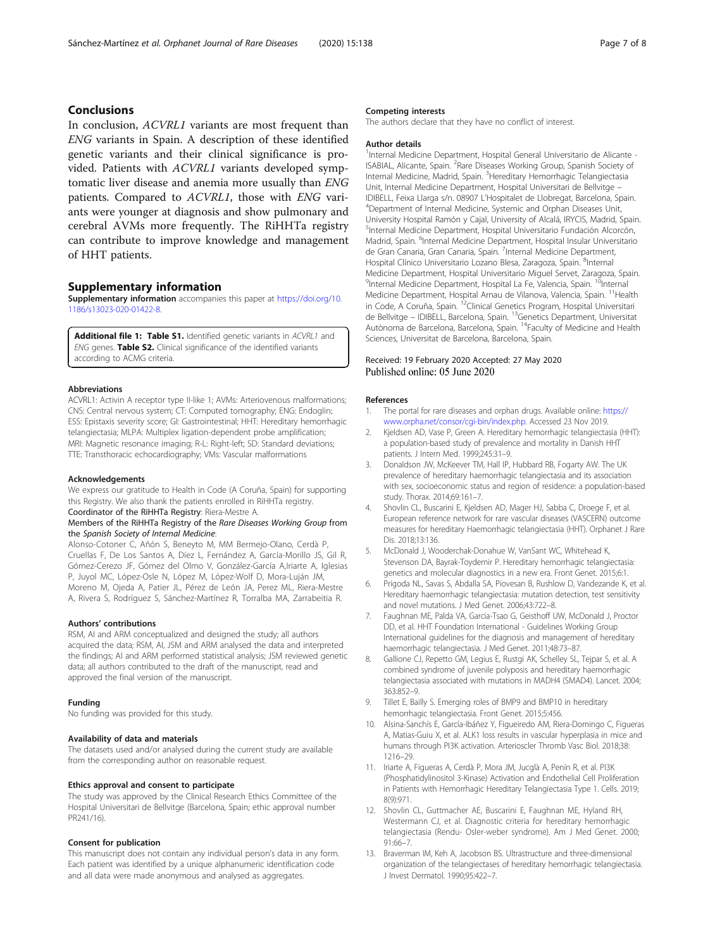## <span id="page-6-0"></span>Conclusions

In conclusion, ACVRL1 variants are most frequent than ENG variants in Spain. A description of these identified genetic variants and their clinical significance is provided. Patients with ACVRL1 variants developed symptomatic liver disease and anemia more usually than ENG patients. Compared to ACVRL1, those with ENG variants were younger at diagnosis and show pulmonary and cerebral AVMs more frequently. The RiHHTa registry can contribute to improve knowledge and management of HHT patients.

#### Supplementary information

Supplementary information accompanies this paper at [https://doi.org/10.](https://doi.org/10.1186/s13023-020-01422-8) [1186/s13023-020-01422-8](https://doi.org/10.1186/s13023-020-01422-8).

Additional file 1: Table S1. Identified genetic variants in ACVRL1 and ENG genes. Table S2. Clinical significance of the identified variants according to ACMG criteria.

#### Abbreviations

ACVRL1: Activin A receptor type II-like 1; AVMs: Arteriovenous malformations; CNS: Central nervous system; CT: Computed tomography; ENG: Endoglin; ESS: Epistaxis severity score; GI: Gastrointestinal; HHT: Hereditary hemorrhagic telangiectasia; MLPA: Multiplex ligation-dependent probe amplification; MRI: Magnetic resonance imaging; R-L: Right-left; SD: Standard deviations; TTE: Transthoracic echocardiography; VMs: Vascular malformations

#### Acknowledgements

We express our gratitude to Health in Code (A Coruña, Spain) for supporting this Registry. We also thank the patients enrolled in RiHHTa registry. Coordinator of the RiHHTa Registry: Riera-Mestre A.

#### Members of the RiHHTa Registry of the Rare Diseases Working Group from the Spanish Society of Internal Medicine:

Alonso-Cotoner C, Añón S, Beneyto M, MM Bermejo-Olano, Cerdà P, Cruellas F, De Los Santos A, Díez L, Fernández A, García-Morillo JS, Gil R, Gómez-Cerezo JF, Gómez del Olmo V, González-García A,Iriarte A, Iglesias P, Juyol MC, López-Osle N, López M, López-Wolf D, Mora-Luján JM, Moreno M, Ojeda A, Patier JL, Pérez de León JA, Perez ML, Riera-Mestre A, Rivera S, Rodríguez S, Sánchez-Martínez R, Torralba MA, Zarrabeitia R.

#### Authors' contributions

RSM, AI and ARM conceptualized and designed the study; all authors acquired the data; RSM, AI, JSM and ARM analysed the data and interpreted the findings; AI and ARM performed statistical analysis; JSM reviewed genetic data; all authors contributed to the draft of the manuscript, read and approved the final version of the manuscript.

#### Funding

No funding was provided for this study.

#### Availability of data and materials

The datasets used and/or analysed during the current study are available from the corresponding author on reasonable request.

#### Ethics approval and consent to participate

The study was approved by the Clinical Research Ethics Committee of the Hospital Universitari de Bellvitge (Barcelona, Spain; ethic approval number PR241/16).

#### Consent for publication

This manuscript does not contain any individual person's data in any form. Each patient was identified by a unique alphanumeric identification code and all data were made anonymous and analysed as aggregates.

#### Competing interests

The authors declare that they have no conflict of interest.

#### Author details

<sup>1</sup>Internal Medicine Department, Hospital General Universitario de Alicante -ISABIAL, Alicante, Spain. <sup>2</sup>Rare Diseases Working Group, Spanish Society of Internal Medicine, Madrid, Spain. <sup>3</sup>Hereditary Hemorrhagic Telangiectasia Unit, Internal Medicine Department, Hospital Universitari de Bellvitge – IDIBELL, Feixa Llarga s/n. 08907 L'Hospitalet de Llobregat, Barcelona, Spain. <sup>4</sup> Department of Internal Medicine, Systemic and Orphan Diseases Unit, University Hospital Ramón y Cajal, University of Alcalá, IRYCIS, Madrid, Spain. 5 Internal Medicine Department, Hospital Universitario Fundación Alcorcón, Madrid, Spain. <sup>6</sup>Internal Medicine Department, Hospital Insular Universitario de Gran Canaria, Gran Canaria, Spain. <sup>7</sup>Internal Medicine Department, Hospital Clínico Universitario Lozano Blesa, Zaragoza, Spain. <sup>8</sup>Internal Medicine Department, Hospital Universitario Miguel Servet, Zaragoza, Spain. <sup>9</sup>Internal Medicine Department, Hospital La Fe, Valencia, Spain. <sup>10</sup>Internal Medicine Department, Hospital Arnau de Vilanova, Valencia, Spain. 11Health in Code, A Coruña, Spain. <sup>12</sup>Clinical Genetics Program, Hospital Universitari de Bellvitge – IDIBELL, Barcelona, Spain. 13Genetics Department, Universitat Autònoma de Barcelona, Barcelona, Spain. 14Faculty of Medicine and Health Sciences, Universitat de Barcelona, Barcelona, Spain.

#### Received: 19 February 2020 Accepted: 27 May 2020 Published online: 05 June 2020

#### References

- 1. The portal for rare diseases and orphan drugs. Available online: [https://](https://www.orpha.net/consor/cgi-bin/index.php) [www.orpha.net/consor/cgi-bin/index.php.](https://www.orpha.net/consor/cgi-bin/index.php) Accessed 23 Nov 2019.
- 2. Kjeldsen AD, Vase P, Green A. Hereditary hemorrhagic telangiectasia (HHT): a population-based study of prevalence and mortality in Danish HHT patients. J Intern Med. 1999;245:31–9.
- 3. Donaldson JW, McKeever TM, Hall IP, Hubbard RB, Fogarty AW. The UK prevalence of hereditary haemorrhagic telangiectasia and its association with sex, socioeconomic status and region of residence: a population-based study. Thorax. 2014;69:161–7.
- 4. Shovlin CL, Buscarini E, Kjeldsen AD, Mager HJ, Sabba C, Droege F, et al. European reference network for rare vascular diseases (VASCERN) outcome measures for hereditary Haemorrhagic telangiectasia (HHT). Orphanet J Rare Dis. 2018;13:136.
- McDonald J, Wooderchak-Donahue W, VanSant WC, Whitehead K, Stevenson DA, Bayrak-Toydemir P. Hereditary hemorrhagic telangiectasia: genetics and molecular diagnostics in a new era. Front Genet. 2015;6:1.
- 6. Prigoda NL, Savas S, Abdalla SA, Piovesan B, Rushlow D, Vandezande K, et al. Hereditary haemorrhagic telangiectasia: mutation detection, test sensitivity and novel mutations. J Med Genet. 2006;43:722–8.
- 7. Faughnan ME, Palda VA, Garcia-Tsao G, Geisthoff UW, McDonald J, Proctor DD, et al. HHT Foundation International - Guidelines Working Group International guidelines for the diagnosis and management of hereditary haemorrhagic telangiectasia. J Med Genet. 2011;48:73–87.
- 8. Gallione CJ, Repetto GM, Legius E, Rustgi AK, Schelley SL, Tejpar S, et al. A combined syndrome of juvenile polyposis and hereditary haemorrhagic telangiectasia associated with mutations in MADH4 (SMAD4). Lancet. 2004; 363:852–9.
- 9. Tillet E, Bailly S. Emerging roles of BMP9 and BMP10 in hereditary hemorrhagic telangiectasia. Front Genet. 2015;5:456.
- 10. Alsina-Sanchís E, García-Ibáñez Y, Figueiredo AM, Riera-Domingo C, Figueras A, Matias-Guiu X, et al. ALK1 loss results in vascular hyperplasia in mice and humans through PI3K activation. Arterioscler Thromb Vasc Biol. 2018;38: 1216–29.
- 11. Iriarte A, Figueras A, Cerdà P, Mora JM, Jucglà A, Penín R, et al. PI3K (Phosphatidylinositol 3-Kinase) Activation and Endothelial Cell Proliferation in Patients with Hemorrhagic Hereditary Telangiectasia Type 1. Cells. 2019; 8(9):971.
- 12. Shovlin CL, Guttmacher AE, Buscarini E, Faughnan ME, Hyland RH, Westermann CJ, et al. Diagnostic criteria for hereditary hemorrhagic telangiectasia (Rendu- Osler-weber syndrome). Am J Med Genet. 2000; 91:66–7.
- 13. Braverman IM, Keh A, Jacobson BS. Ultrastructure and three-dimensional organization of the telangiectases of hereditary hemorrhagic telangiectasia. J Invest Dermatol. 1990;95:422–7.